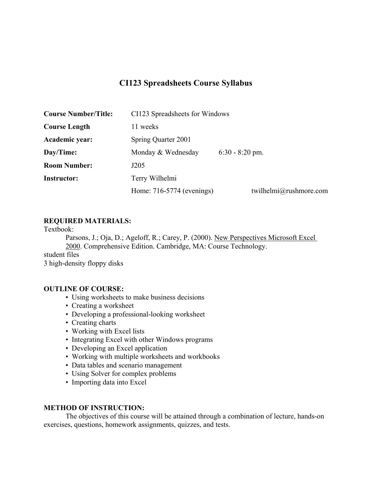# **CI123 Spreadsheets Course Syllabus**

| <b>Course Number/Title:</b> | CI123 Spreadsheets for Windows |                        |  |
|-----------------------------|--------------------------------|------------------------|--|
| <b>Course Length</b>        | 11 weeks                       |                        |  |
| Academic year:              | Spring Quarter 2001            |                        |  |
| Day/Time:                   | Monday & Wednesday             | $6:30 - 8:20$ pm.      |  |
| <b>Room Number:</b>         | J205                           |                        |  |
| <b>Instructor:</b>          | Terry Wilhelmi                 |                        |  |
|                             | Home: 716-5774 (evenings)      | twilhelmi@rushmore.com |  |

## **REQUIRED MATERIALS:**

Textbook:

Parsons, J.; Oja, D.; Ageloff, R.; Carey, P. (2000). New Perspectives Microsoft Excel 2000. Comprehensive Edition. Cambridge, MA: Course Technology.

student files 3 high-density floppy disks

### **OUTLINE OF COURSE:**

- Using worksheets to make business decisions
- Creating a worksheet
- Developing a professional-looking worksheet
- Creating charts
- Working with Excel lists
- Integrating Excel with other Windows programs
- Developing an Excel application
- Working with multiple worksheets and workbooks
- Data tables and scenario management
- Using Solver for complex problems
- Importing data into Excel

### **METHOD OF INSTRUCTION:**

 The objectives of this course will be attained through a combination of lecture, hands-on exercises, questions, homework assignments, quizzes, and tests.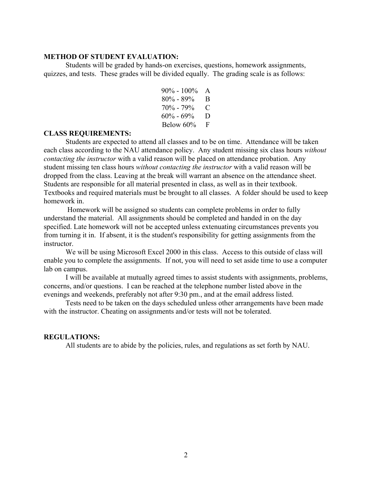#### **METHOD OF STUDENT EVALUATION:**

 Students will be graded by hands-on exercises, questions, homework assignments, quizzes, and tests. These grades will be divided equally. The grading scale is as follows:

> $90\% - 100\%$  A 80% - 89% B 70% - 79% C  $60\% - 69\%$  D Below 60% F

#### **CLASS REQUIREMENTS:**

 Students are expected to attend all classes and to be on time. Attendance will be taken each class according to the NAU attendance policy. Any student missing six class hours *without contacting the instructor* with a valid reason will be placed on attendance probation. Any student missing ten class hours *without contacting the instructor* with a valid reason will be dropped from the class. Leaving at the break will warrant an absence on the attendance sheet. Students are responsible for all material presented in class, as well as in their textbook. Textbooks and required materials must be brought to all classes. A folder should be used to keep homework in.

 Homework will be assigned so students can complete problems in order to fully understand the material. All assignments should be completed and handed in on the day specified. Late homework will not be accepted unless extenuating circumstances prevents you from turning it in. If absent, it is the student's responsibility for getting assignments from the instructor.

 We will be using Microsoft Excel 2000 in this class. Access to this outside of class will enable you to complete the assignments. If not, you will need to set aside time to use a computer lab on campus.

 I will be available at mutually agreed times to assist students with assignments, problems, concerns, and/or questions. I can be reached at the telephone number listed above in the evenings and weekends, preferably not after 9:30 pm., and at the email address listed.

 Tests need to be taken on the days scheduled unless other arrangements have been made with the instructor. Cheating on assignments and/or tests will not be tolerated.

#### **REGULATIONS:**

All students are to abide by the policies, rules, and regulations as set forth by NAU.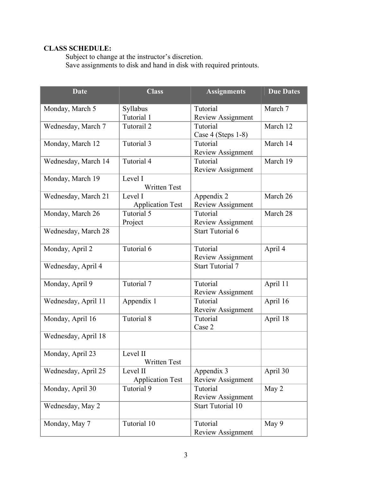# **CLASS SCHEDULE:**

 Subject to change at the instructor's discretion. Save assignments to disk and hand in disk with required printouts.

| <b>Date</b>         | <b>Class</b>            | <b>Assignments</b>       | <b>Due Dates</b> |
|---------------------|-------------------------|--------------------------|------------------|
| Monday, March 5     | Syllabus                | Tutorial                 | March 7          |
|                     | Tutorial 1              | <b>Review Assignment</b> |                  |
| Wednesday, March 7  | Tutorail 2              | Tutorial                 | March 12         |
|                     |                         | Case 4 (Steps 1-8)       |                  |
| Monday, March 12    | Tutorial 3              | Tutorial                 | March 14         |
|                     |                         | <b>Review Assignment</b> |                  |
| Wednesday, March 14 | Tutorial 4              | Tutorial                 | March 19         |
|                     | Level I                 | Review Assignment        |                  |
| Monday, March 19    | <b>Written Test</b>     |                          |                  |
| Wednesday, March 21 | Level I                 | Appendix 2               | March 26         |
|                     | <b>Application Test</b> | Review Assignment        |                  |
| Monday, March 26    | Tutorial 5              | Tutorial                 | March 28         |
|                     | Project                 | Review Assignment        |                  |
| Wednesday, March 28 |                         | <b>Start Tutorial 6</b>  |                  |
|                     |                         |                          |                  |
| Monday, April 2     | Tutorial 6              | Tutorial                 | April 4          |
|                     |                         | <b>Review Assignment</b> |                  |
| Wednesday, April 4  |                         | <b>Start Tutorial 7</b>  |                  |
| Monday, April 9     | Tutorial 7              | Tutorial                 | April 11         |
|                     |                         | Review Assignment        |                  |
| Wednesday, April 11 | Appendix 1              | Tutorial                 | April 16         |
|                     |                         | Reveiw Assignment        |                  |
| Monday, April 16    | Tutorial 8              | Tutorial                 | April 18         |
|                     |                         | Case 2                   |                  |
| Wednesday, April 18 |                         |                          |                  |
| Monday, April 23    | Level II                |                          |                  |
|                     | Written Test            |                          |                  |
| Wednesday, April 25 | Level II                | Appendix 3               | April 30         |
|                     | <b>Application Test</b> | Review Assignment        |                  |
| Monday, April 30    | Tutorial 9              | Tutorial                 | May 2            |
|                     |                         | Review Assignment        |                  |
| Wednesday, May 2    |                         | <b>Start Tutorial 10</b> |                  |
| Monday, May 7       | Tutorial 10             | Tutorial                 | May 9            |
|                     |                         | Review Assignment        |                  |